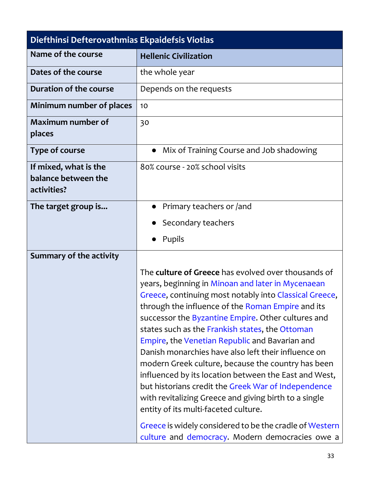| Diefthinsi Defterovathmias Ekpaidefsis Viotias              |                                                                                                                                                                                                                                                                                                                                                                                                                                                                                                                                                                                                                                                                                                                                                                                                                                       |  |
|-------------------------------------------------------------|---------------------------------------------------------------------------------------------------------------------------------------------------------------------------------------------------------------------------------------------------------------------------------------------------------------------------------------------------------------------------------------------------------------------------------------------------------------------------------------------------------------------------------------------------------------------------------------------------------------------------------------------------------------------------------------------------------------------------------------------------------------------------------------------------------------------------------------|--|
| Name of the course                                          | <b>Hellenic Civilization</b>                                                                                                                                                                                                                                                                                                                                                                                                                                                                                                                                                                                                                                                                                                                                                                                                          |  |
| Dates of the course                                         | the whole year                                                                                                                                                                                                                                                                                                                                                                                                                                                                                                                                                                                                                                                                                                                                                                                                                        |  |
| Duration of the course                                      | Depends on the requests                                                                                                                                                                                                                                                                                                                                                                                                                                                                                                                                                                                                                                                                                                                                                                                                               |  |
| Minimum number of places                                    | 10                                                                                                                                                                                                                                                                                                                                                                                                                                                                                                                                                                                                                                                                                                                                                                                                                                    |  |
| <b>Maximum number of</b><br>places                          | 30                                                                                                                                                                                                                                                                                                                                                                                                                                                                                                                                                                                                                                                                                                                                                                                                                                    |  |
| Type of course                                              | Mix of Training Course and Job shadowing<br>$\bullet$                                                                                                                                                                                                                                                                                                                                                                                                                                                                                                                                                                                                                                                                                                                                                                                 |  |
| If mixed, what is the<br>balance between the<br>activities? | 80% course - 20% school visits                                                                                                                                                                                                                                                                                                                                                                                                                                                                                                                                                                                                                                                                                                                                                                                                        |  |
| The target group is                                         | Primary teachers or /and                                                                                                                                                                                                                                                                                                                                                                                                                                                                                                                                                                                                                                                                                                                                                                                                              |  |
|                                                             | Secondary teachers                                                                                                                                                                                                                                                                                                                                                                                                                                                                                                                                                                                                                                                                                                                                                                                                                    |  |
|                                                             | Pupils                                                                                                                                                                                                                                                                                                                                                                                                                                                                                                                                                                                                                                                                                                                                                                                                                                |  |
| Summary of the activity                                     |                                                                                                                                                                                                                                                                                                                                                                                                                                                                                                                                                                                                                                                                                                                                                                                                                                       |  |
|                                                             | The <b>culture of Greece</b> has evolved over thousands of<br>years, beginning in Minoan and later in Mycenaean<br>Greece, continuing most notably into Classical Greece,<br>through the influence of the Roman Empire and its<br>successor the Byzantine Empire. Other cultures and<br>states such as the Frankish states, the Ottoman<br>Empire, the Venetian Republic and Bavarian and<br>Danish monarchies have also left their influence on<br>modern Greek culture, because the country has been<br>influenced by its location between the East and West,<br>but historians credit the Greek War of Independence<br>with revitalizing Greece and giving birth to a single<br>entity of its multi-faceted culture.<br>Greece is widely considered to be the cradle of Western<br>culture and democracy. Modern democracies owe a |  |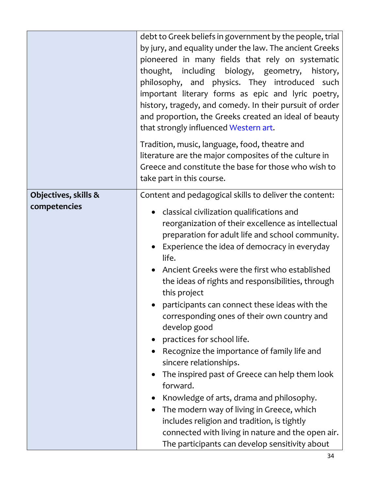|                                      | debt to Greek beliefs in government by the people, trial<br>by jury, and equality under the law. The ancient Greeks<br>pioneered in many fields that rely on systematic<br>thought, including biology, geometry, history,<br>philosophy, and physics. They introduced<br>such<br>important literary forms as epic and lyric poetry,<br>history, tragedy, and comedy. In their pursuit of order<br>and proportion, the Greeks created an ideal of beauty<br>that strongly influenced Western art.                                                                                                                                                                                                                                                                                                                                                                                                                                                |
|--------------------------------------|-------------------------------------------------------------------------------------------------------------------------------------------------------------------------------------------------------------------------------------------------------------------------------------------------------------------------------------------------------------------------------------------------------------------------------------------------------------------------------------------------------------------------------------------------------------------------------------------------------------------------------------------------------------------------------------------------------------------------------------------------------------------------------------------------------------------------------------------------------------------------------------------------------------------------------------------------|
|                                      | Tradition, music, language, food, theatre and<br>literature are the major composites of the culture in<br>Greece and constitute the base for those who wish to<br>take part in this course.                                                                                                                                                                                                                                                                                                                                                                                                                                                                                                                                                                                                                                                                                                                                                     |
| Objectives, skills &<br>competencies | Content and pedagogical skills to deliver the content:<br>classical civilization qualifications and<br>$\bullet$<br>reorganization of their excellence as intellectual<br>preparation for adult life and school community.<br>Experience the idea of democracy in everyday<br>life.<br>Ancient Greeks were the first who established<br>the ideas of rights and responsibilities, through<br>this project<br>participants can connect these ideas with the<br>corresponding ones of their own country and<br>develop good<br>• practices for school life.<br>Recognize the importance of family life and<br>sincere relationships.<br>The inspired past of Greece can help them look<br>forward.<br>Knowledge of arts, drama and philosophy.<br>The modern way of living in Greece, which<br>includes religion and tradition, is tightly<br>connected with living in nature and the open air.<br>The participants can develop sensitivity about |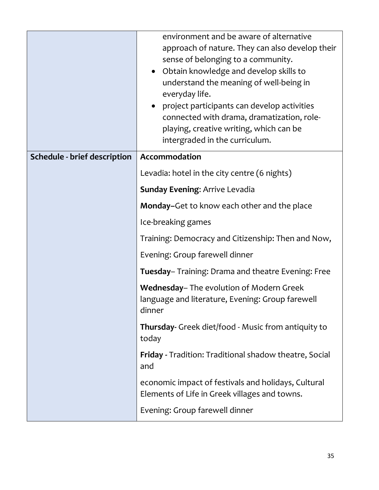|                                     | environment and be aware of alternative<br>approach of nature. They can also develop their<br>sense of belonging to a community.<br>• Obtain knowledge and develop skills to<br>understand the meaning of well-being in<br>everyday life.<br>project participants can develop activities<br>connected with drama, dramatization, role-<br>playing, creative writing, which can be<br>intergraded in the curriculum. |
|-------------------------------------|---------------------------------------------------------------------------------------------------------------------------------------------------------------------------------------------------------------------------------------------------------------------------------------------------------------------------------------------------------------------------------------------------------------------|
| <b>Schedule - brief description</b> | Accommodation                                                                                                                                                                                                                                                                                                                                                                                                       |
|                                     | Levadia: hotel in the city centre (6 nights)                                                                                                                                                                                                                                                                                                                                                                        |
|                                     | <b>Sunday Evening: Arrive Levadia</b>                                                                                                                                                                                                                                                                                                                                                                               |
|                                     | Monday-Get to know each other and the place                                                                                                                                                                                                                                                                                                                                                                         |
|                                     | Ice-breaking games                                                                                                                                                                                                                                                                                                                                                                                                  |
|                                     | Training: Democracy and Citizenship: Then and Now,                                                                                                                                                                                                                                                                                                                                                                  |
|                                     | Evening: Group farewell dinner                                                                                                                                                                                                                                                                                                                                                                                      |
|                                     | Tuesday-Training: Drama and theatre Evening: Free                                                                                                                                                                                                                                                                                                                                                                   |
|                                     | Wednesday-The evolution of Modern Greek<br>language and literature, Evening: Group farewell<br>dinner                                                                                                                                                                                                                                                                                                               |
|                                     | Thursday- Greek diet/food - Music from antiquity to<br>today                                                                                                                                                                                                                                                                                                                                                        |
|                                     | <b>Friday</b> - Tradition: Traditional shadow theatre, Social<br>and                                                                                                                                                                                                                                                                                                                                                |
|                                     | economic impact of festivals and holidays, Cultural<br>Elements of Life in Greek villages and towns.                                                                                                                                                                                                                                                                                                                |
|                                     | Evening: Group farewell dinner                                                                                                                                                                                                                                                                                                                                                                                      |